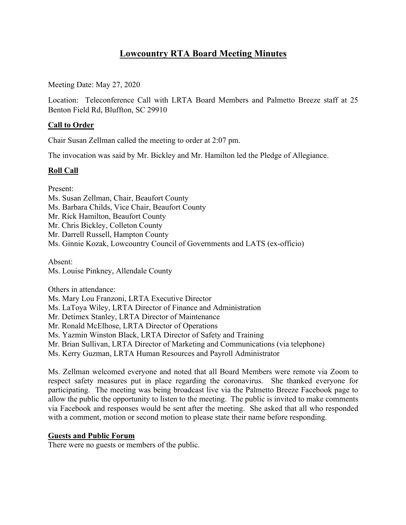# **Lowcountry RTA Board Meeting Minutes**

Meeting Date: May 27, 2020

Location: Teleconference Call with LRTA Board Members and Palmetto Breeze staff at 25 Benton Field Rd, Bluffton, SC 29910

# **Call to Order**

Chair Susan Zellman called the meeting to order at 2:07 pm.

The invocation was said by Mr. Bickley and Mr. Hamilton led the Pledge of Allegiance.

### **Roll Call**

Present:

Ms. Susan Zellman, Chair, Beaufort County Ms. Barbara Childs, Vice Chair, Beaufort County Mr. Rick Hamilton, Beaufort County Mr. Chris Bickley, Colleton County Mr. Darrell Russell, Hampton County Ms. Ginnie Kozak, Lowcountry Council of Governments and LATS (ex-officio) Absent:

Ms. Louise Pinkney, Allendale County

Others in attendance: Ms. Mary Lou Franzoni, LRTA Executive Director Ms. LaToya Wiley, LRTA Director of Finance and Administration Mr. Detimex Stanley, LRTA Director of Maintenance Mr. Ronald McElhose, LRTA Director of Operations Ms. Yazmin Winston Black, LRTA Director of Safety and Training Mr. Brian Sullivan, LRTA Director of Marketing and Communications (via telephone) Ms. Kerry Guzman, LRTA Human Resources and Payroll Administrator

Ms. Zellman welcomed everyone and noted that all Board Members were remote via Zoom to respect safety measures put in place regarding the coronavirus. She thanked everyone for participating. The meeting was being broadcast live via the Palmetto Breeze Facebook page to allow the public the opportunity to listen to the meeting. The public is invited to make comments via Facebook and responses would be sent after the meeting. She asked that all who responded with a comment, motion or second motion to please state their name before responding.

### **Guests and Public Forum**

There were no guests or members of the public.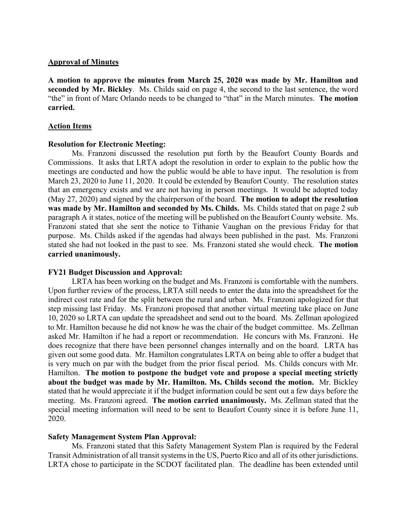#### **Approval of Minutes**

**A motion to approve the minutes from March 25, 2020 was made by Mr. Hamilton and seconded by Mr. Bickley**. Ms. Childs said on page 4, the second to the last sentence, the word "the" in front of Marc Orlando needs to be changed to "that" in the March minutes. **The motion carried.**

#### **Action Items**

### **Resolution for Electronic Meeting:**

Ms. Franzoni discussed the resolution put forth by the Beaufort County Boards and Commissions. It asks that LRTA adopt the resolution in order to explain to the public how the meetings are conducted and how the public would be able to have input. The resolution is from March 23, 2020 to June 11, 2020. It could be extended by Beaufort County. The resolution states that an emergency exists and we are not having in person meetings. It would be adopted today (May 27, 2020) and signed by the chairperson of the board. **The motion to adopt the resolution was made by Mr. Hamilton and seconded by Ms. Childs.** Ms. Childs stated that on page 2 sub paragraph A it states, notice of the meeting will be published on the Beaufort County website. Ms. Franzoni stated that she sent the notice to Tithanie Vaughan on the previous Friday for that purpose. Ms. Childs asked if the agendas had always been published in the past. Ms. Franzoni stated she had not looked in the past to see. Ms. Franzoni stated she would check. **The motion carried unanimously.**

### **FY21 Budget Discussion and Approval:**

LRTA has been working on the budget and Ms. Franzoni is comfortable with the numbers. Upon further review of the process, LRTA still needs to enter the data into the spreadsheet for the indirect cost rate and for the split between the rural and urban. Ms. Franzoni apologized for that step missing last Friday. Ms. Franzoni proposed that another virtual meeting take place on June 10, 2020 so LRTA can update the spreadsheet and send out to the board. Ms. Zellman apologized to Mr. Hamilton because he did not know he was the chair of the budget committee. Ms. Zellman asked Mr. Hamilton if he had a report or recommendation. He concurs with Ms. Franzoni. He does recognize that there have been personnel changes internally and on the board. LRTA has given out some good data. Mr. Hamilton congratulates LRTA on being able to offer a budget that is very much on par with the budget from the prior fiscal period. Ms. Childs concurs with Mr. Hamilton. **The motion to postpone the budget vote and propose a special meeting strictly about the budget was made by Mr. Hamilton. Ms. Childs second the motion.** Mr. Bickley stated that he would appreciate it if the budget information could be sent out a few days before the meeting. Ms. Franzoni agreed. **The motion carried unanimously.** Ms. Zellman stated that the special meeting information will need to be sent to Beaufort County since it is before June 11, 2020.

### **Safety Management System Plan Approval:**

Ms. Franzoni stated that this Safety Management System Plan is required by the Federal Transit Administration of all transit systems in the US, Puerto Rico and all of its other jurisdictions. LRTA chose to participate in the SCDOT facilitated plan. The deadline has been extended until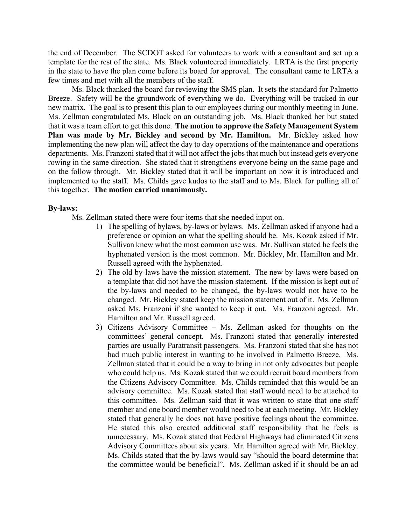the end of December. The SCDOT asked for volunteers to work with a consultant and set up a template for the rest of the state. Ms. Black volunteered immediately. LRTA is the first property in the state to have the plan come before its board for approval. The consultant came to LRTA a few times and met with all the members of the staff.

Ms. Black thanked the board for reviewing the SMS plan. It sets the standard for Palmetto Breeze. Safety will be the groundwork of everything we do. Everything will be tracked in our new matrix. The goal is to present this plan to our employees during our monthly meeting in June. Ms. Zellman congratulated Ms. Black on an outstanding job. Ms. Black thanked her but stated that it was a team effort to get this done. **The motion to approve the Safety Management System Plan was made by Mr. Bickley and second by Mr. Hamilton.** Mr. Bickley asked how implementing the new plan will affect the day to day operations of the maintenance and operations departments. Ms. Franzoni stated that it will not affect the jobs that much but instead gets everyone rowing in the same direction. She stated that it strengthens everyone being on the same page and on the follow through. Mr. Bickley stated that it will be important on how it is introduced and implemented to the staff. Ms. Childs gave kudos to the staff and to Ms. Black for pulling all of this together. **The motion carried unanimously.**

### **By-laws:**

Ms. Zellman stated there were four items that she needed input on.

- 1) The spelling of bylaws, by-laws or bylaws. Ms. Zellman asked if anyone had a preference or opinion on what the spelling should be. Ms. Kozak asked if Mr. Sullivan knew what the most common use was. Mr. Sullivan stated he feels the hyphenated version is the most common. Mr. Bickley, Mr. Hamilton and Mr. Russell agreed with the hyphenated.
- 2) The old by-laws have the mission statement. The new by-laws were based on a template that did not have the mission statement. If the mission is kept out of the by-laws and needed to be changed, the by-laws would not have to be changed. Mr. Bickley stated keep the mission statement out of it. Ms. Zellman asked Ms. Franzoni if she wanted to keep it out. Ms. Franzoni agreed. Mr. Hamilton and Mr. Russell agreed.
- 3) Citizens Advisory Committee Ms. Zellman asked for thoughts on the committees' general concept. Ms. Franzoni stated that generally interested parties are usually Paratransit passengers. Ms. Franzoni stated that she has not had much public interest in wanting to be involved in Palmetto Breeze. Ms. Zellman stated that it could be a way to bring in not only advocates but people who could help us. Ms. Kozak stated that we could recruit board members from the Citizens Advisory Committee. Ms. Childs reminded that this would be an advisory committee. Ms. Kozak stated that staff would need to be attached to this committee. Ms. Zellman said that it was written to state that one staff member and one board member would need to be at each meeting. Mr. Bickley stated that generally he does not have positive feelings about the committee. He stated this also created additional staff responsibility that he feels is unnecessary. Ms. Kozak stated that Federal Highways had eliminated Citizens Advisory Committees about six years. Mr. Hamilton agreed with Mr. Bickley. Ms. Childs stated that the by-laws would say "should the board determine that the committee would be beneficial". Ms. Zellman asked if it should be an ad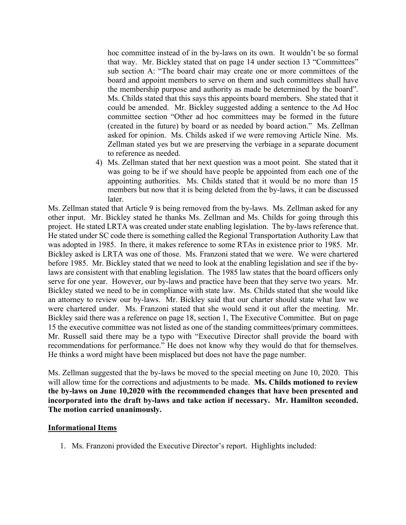hoc committee instead of in the by-laws on its own. It wouldn't be so formal that way. Mr. Bickley stated that on page 14 under section 13 "Committees" sub section A: "The board chair may create one or more committees of the board and appoint members to serve on them and such committees shall have the membership purpose and authority as made be determined by the board". Ms. Childs stated that this says this appoints board members. She stated that it could be amended. Mr. Bickley suggested adding a sentence to the Ad Hoc committee section "Other ad hoc committees may be formed in the future (created in the future) by board or as needed by board action." Ms. Zellman asked for opinion. Ms. Childs asked if we were removing Article Nine. Ms. Zellman stated yes but we are preserving the verbiage in a separate document to reference as needed.

4) Ms. Zellman stated that her next question was a moot point. She stated that it was going to be if we should have people be appointed from each one of the appointing authorities. Ms. Childs stated that it would be no more than 15 members but now that it is being deleted from the by-laws, it can be discussed later.

Ms. Zellman stated that Article 9 is being removed from the by-laws. Ms. Zellman asked for any other input. Mr. Bickley stated he thanks Ms. Zellman and Ms. Childs for going through this project. He stated LRTA was created under state enabling legislation. The by-laws reference that. He stated under SC code there is something called the Regional Transportation Authority Law that was adopted in 1985. In there, it makes reference to some RTAs in existence prior to 1985. Mr. Bickley asked is LRTA was one of those. Ms. Franzoni stated that we were. We were chartered before 1985. Mr. Bickley stated that we need to look at the enabling legislation and see if the bylaws are consistent with that enabling legislation. The 1985 law states that the board officers only serve for one year. However, our by-laws and practice have been that they serve two years. Mr. Bickley stated we need to be in compliance with state law. Ms. Childs stated that she would like an attorney to review our by-laws. Mr. Bickley said that our charter should state what law we were chartered under. Ms. Franzoni stated that she would send it out after the meeting. Mr. Bickley said there was a reference on page 18, section 1, The Executive Committee. But on page 15 the executive committee was not listed as one of the standing committees/primary committees. Mr. Russell said there may be a typo with "Executive Director shall provide the board with recommendations for performance." He does not know why they would do that for themselves. He thinks a word might have been misplaced but does not have the page number.

Ms. Zellman suggested that the by-laws be moved to the special meeting on June 10, 2020. This will allow time for the corrections and adjustments to be made. **Ms. Childs motioned to review the by-laws on June 10,2020 with the recommended changes that have been presented and incorporated into the draft by-laws and take action if necessary. Mr. Hamilton seconded. The motion carried unanimously.**

### **Informational Items**

1. Ms. Franzoni provided the Executive Director's report. Highlights included: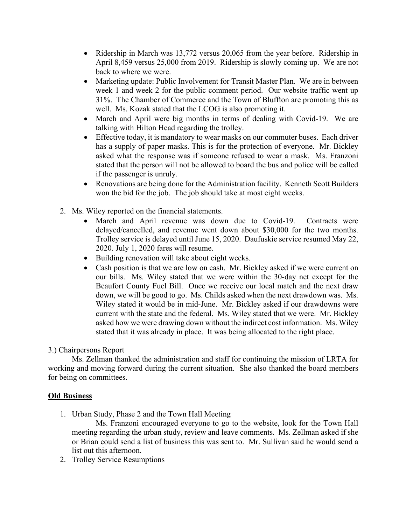- Ridership in March was 13,772 versus 20,065 from the year before. Ridership in April 8,459 versus 25,000 from 2019. Ridership is slowly coming up. We are not back to where we were.
- Marketing update: Public Involvement for Transit Master Plan. We are in between week 1 and week 2 for the public comment period. Our website traffic went up 31%. The Chamber of Commerce and the Town of Bluffton are promoting this as well. Ms. Kozak stated that the LCOG is also promoting it.
- March and April were big months in terms of dealing with Covid-19. We are talking with Hilton Head regarding the trolley.
- Effective today, it is mandatory to wear masks on our commuter buses. Each driver has a supply of paper masks. This is for the protection of everyone. Mr. Bickley asked what the response was if someone refused to wear a mask. Ms. Franzoni stated that the person will not be allowed to board the bus and police will be called if the passenger is unruly.
- Renovations are being done for the Administration facility. Kenneth Scott Builders won the bid for the job. The job should take at most eight weeks.
- 2. Ms. Wiley reported on the financial statements.
	- March and April revenue was down due to Covid-19. Contracts were delayed/cancelled, and revenue went down about \$30,000 for the two months. Trolley service is delayed until June 15, 2020. Daufuskie service resumed May 22, 2020. July 1, 2020 fares will resume.
	- Building renovation will take about eight weeks.
	- Cash position is that we are low on cash. Mr. Bickley asked if we were current on our bills. Ms. Wiley stated that we were within the 30-day net except for the Beaufort County Fuel Bill. Once we receive our local match and the next draw down, we will be good to go. Ms. Childs asked when the next drawdown was. Ms. Wiley stated it would be in mid-June. Mr. Bickley asked if our drawdowns were current with the state and the federal. Ms. Wiley stated that we were. Mr. Bickley asked how we were drawing down without the indirect cost information. Ms. Wiley stated that it was already in place. It was being allocated to the right place.

# 3.) Chairpersons Report

Ms. Zellman thanked the administration and staff for continuing the mission of LRTA for working and moving forward during the current situation. She also thanked the board members for being on committees.

# **Old Business**

1. Urban Study, Phase 2 and the Town Hall Meeting

Ms. Franzoni encouraged everyone to go to the website, look for the Town Hall meeting regarding the urban study, review and leave comments. Ms. Zellman asked if she or Brian could send a list of business this was sent to. Mr. Sullivan said he would send a list out this afternoon.

2. Trolley Service Resumptions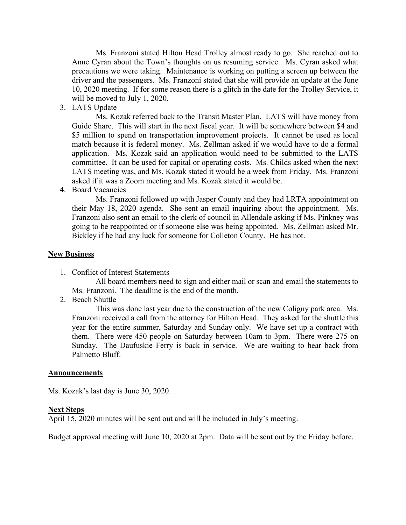Ms. Franzoni stated Hilton Head Trolley almost ready to go. She reached out to Anne Cyran about the Town's thoughts on us resuming service. Ms. Cyran asked what precautions we were taking. Maintenance is working on putting a screen up between the driver and the passengers. Ms. Franzoni stated that she will provide an update at the June 10, 2020 meeting. If for some reason there is a glitch in the date for the Trolley Service, it will be moved to July 1, 2020.

3. LATS Update

Ms. Kozak referred back to the Transit Master Plan. LATS will have money from Guide Share. This will start in the next fiscal year. It will be somewhere between \$4 and \$5 million to spend on transportation improvement projects. It cannot be used as local match because it is federal money. Ms. Zellman asked if we would have to do a formal application. Ms. Kozak said an application would need to be submitted to the LATS committee. It can be used for capital or operating costs. Ms. Childs asked when the next LATS meeting was, and Ms. Kozak stated it would be a week from Friday. Ms. Franzoni asked if it was a Zoom meeting and Ms. Kozak stated it would be.

4. Board Vacancies

Ms. Franzoni followed up with Jasper County and they had LRTA appointment on their May 18, 2020 agenda. She sent an email inquiring about the appointment. Ms. Franzoni also sent an email to the clerk of council in Allendale asking if Ms. Pinkney was going to be reappointed or if someone else was being appointed. Ms. Zellman asked Mr. Bickley if he had any luck for someone for Colleton County. He has not.

#### **New Business**

1. Conflict of Interest Statements

All board members need to sign and either mail or scan and email the statements to Ms. Franzoni. The deadline is the end of the month.

2. Beach Shuttle

This was done last year due to the construction of the new Coligny park area. Ms. Franzoni received a call from the attorney for Hilton Head. They asked for the shuttle this year for the entire summer, Saturday and Sunday only. We have set up a contract with them. There were 450 people on Saturday between 10am to 3pm. There were 275 on Sunday. The Daufuskie Ferry is back in service. We are waiting to hear back from Palmetto Bluff.

#### **Announcements**

Ms. Kozak's last day is June 30, 2020.

#### **Next Steps**

April 15, 2020 minutes will be sent out and will be included in July's meeting.

Budget approval meeting will June 10, 2020 at 2pm. Data will be sent out by the Friday before.